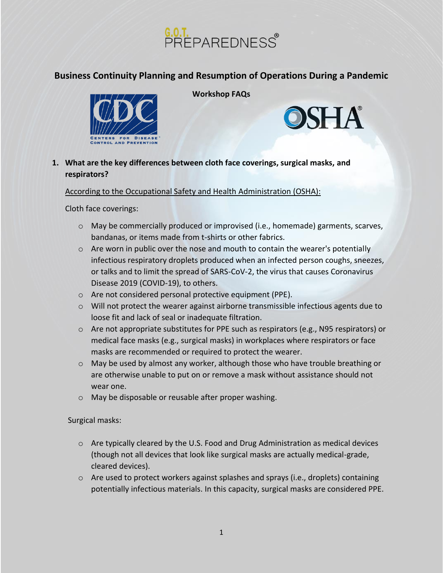



**Workshop FAQs**



## **1. What are the key differences between cloth face coverings, surgical masks, and respirators?**

### According to the Occupational Safety and Health Administration (OSHA):

Cloth face coverings:

- o May be commercially produced or improvised (i.e., homemade) garments, scarves, bandanas, or items made from t-shirts or other fabrics.
- o Are worn in public over the nose and mouth to contain the wearer's potentially infectious respiratory droplets produced when an infected person coughs, sneezes, or talks and to limit the spread of SARS-CoV-2, the virus that causes Coronavirus Disease 2019 (COVID-19), to others.
- o Are not considered personal protective equipment (PPE).
- o Will not protect the wearer against airborne transmissible infectious agents due to loose fit and lack of seal or inadequate filtration.
- o Are not appropriate substitutes for PPE such as respirators (e.g., N95 respirators) or medical face masks (e.g., surgical masks) in workplaces where respirators or face masks are recommended or required to protect the wearer.
- $\circ$  May be used by almost any worker, although those who have trouble breathing or are otherwise unable to put on or remove a mask without assistance should not wear one.
- o May be disposable or reusable after [proper washing.](https://www.cdc.gov/coronavirus/2019-ncov/prevent-getting-sick/how-to-wash-cloth-face-coverings.html)

Surgical masks:

- $\circ$  Are typically cleared by the U.S. Food and Drug Administration as medical devices (though not all devices that look like surgical masks are actually medical-grade, cleared devices).
- o Are used to protect workers against splashes and sprays (i.e., droplets) containing potentially infectious materials. In this capacity, surgical masks are considered PPE.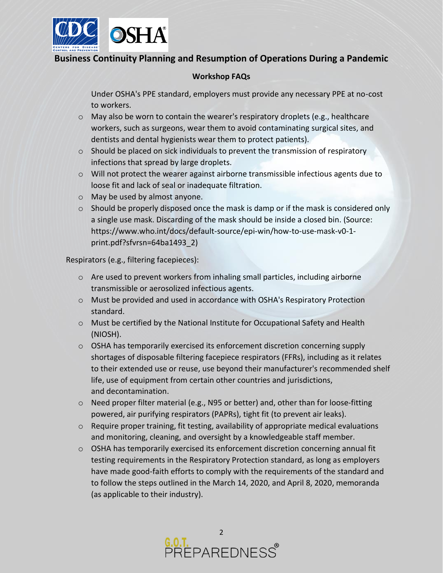

### **Workshop FAQs**

Under OSHA's PPE standard, employers must provide any necessary PPE at no-cost to workers.

- $\circ$  May also be worn to contain the wearer's respiratory droplets (e.g., healthcare workers, such as surgeons, wear them to avoid contaminating surgical sites, and dentists and dental hygienists wear them to protect patients).
- o Should be placed on sick individuals to prevent the transmission of respiratory infections that spread by large droplets.
- $\circ$  Will not protect the wearer against airborne transmissible infectious agents due to loose fit and lack of seal or inadequate filtration.
- o May be used by almost anyone.
- $\circ$  Should be properly disposed once the mask is damp or if the mask is considered only a single use mask. Discarding of the mask should be inside a closed bin. (Source: https://www.who.int/docs/default-source/epi-win/how-to-use-mask-v0-1 print.pdf?sfvrsn=64ba1493\_2)

Respirators (e.g., filtering facepieces):

- $\circ$  Are used to prevent workers from inhaling small particles, including airborne transmissible or aerosolized infectious agents.
- o Must be provided and used in accordance with OSHA's Respiratory Protection standard.
- $\circ$  Must be certified by the National Institute for Occupational Safety and Health (NIOSH).
- o OSHA has [temporarily exercised its enforcement discretion](https://www.osha.gov/enforcementmemos) concerning supply shortages of disposable filtering facepiece respirators (FFRs), including as it relates to their [extended use or reuse,](https://www.osha.gov/memos/2020-04-03/enforcement-guidance-respiratory-protection-and-n95-shortage-due-coronavirus) [use beyond their manufacturer's recommended shelf](https://www.osha.gov/memos/2020-04-03/enforcement-guidance-respiratory-protection-and-n95-shortage-due-coronavirus) [life,](https://www.osha.gov/memos/2020-04-03/enforcement-guidance-respiratory-protection-and-n95-shortage-due-coronavirus) [use of equipment from certain other countries and jurisdictions,](https://www.osha.gov/memos/2020-04-03/enforcement-guidance-use-respiratory-protection-equipment-certified-under) and [decontamination.](https://www.osha.gov/memos/2020-04-24/enforcement-guidance-decontamination-filtering-facepiece-respirators-healthcare)
- o Need proper filter material (e.g., N95 or better) and, other than for loose-fitting powered, air purifying respirators (PAPRs), tight fit (to prevent air leaks).
- o Require proper training, fit testing, availability of appropriate medical evaluations and monitoring, cleaning, and oversight by a knowledgeable staff member.
- $\circ$  OSHA has [temporarily exercised its enforcement discretion](https://www.osha.gov/enforcementmemos) concerning annual fit testing requirements in the Respiratory Protection standard, as long as employers have made good-faith efforts to comply with the requirements of the standard and to follow the steps outlined in the [March 14, 2020,](https://www.osha.gov/memos/2020-03-14/temporary-enforcement-guidance-healthcare-respiratory-protection-annual-fit) and [April 8, 2020,](https://www.osha.gov/memos/2020-04-08/expanded-temporary-enforcement-guidance-respiratory-protection-fit-testing-n95) memoranda (as applicable to their industry).

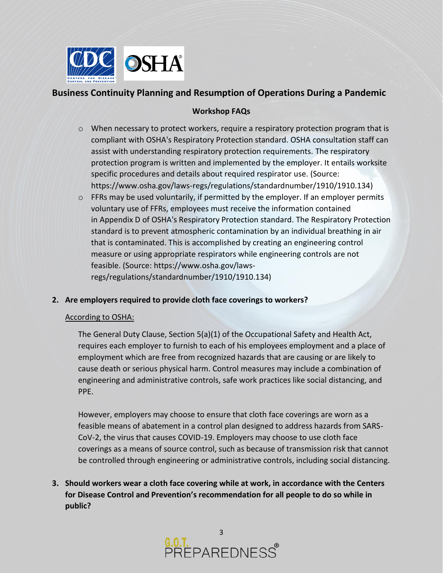

## **Workshop FAQs**

- $\circ$  When necessary to protect workers, require a respiratory protection program that is compliant with OSHA's Respiratory Protection standard. OSHA consultation staff can assist with understanding respiratory protection requirements. The respiratory protection program is written and implemented by the employer. It entails worksite specific procedures and details about required respirator use. (Source: https://www.osha.gov/laws-regs/regulations/standardnumber/1910/1910.134)
- o FFRs may be used voluntarily, if permitted by the employer. If an employer permits voluntary use of FFRs, employees must receive the information contained in [Appendix D](https://www.osha.gov/laws-regs/regulations/standardnumber/1910/1910.134AppD) of OSHA's Respiratory Protection standard. The Respiratory Protection standard is to prevent atmospheric contamination by an individual breathing in air that is contaminated. This is accomplished by creating an engineering control measure or using appropriate respirators while engineering controls are not feasible. (Source: https://www.osha.gov/lawsregs/regulations/standardnumber/1910/1910.134)
- **2. Are employers required to provide cloth face coverings to workers?**

### According to OSHA:

The General Duty Clause, Section 5(a)(1) of the Occupational Safety and Health Act, requires each employer to furnish to each of his employees employment and a place of employment which are free from recognized hazards that are causing or are likely to cause death or serious physical harm. Control measures may include a combination of engineering and administrative controls, safe work practices like social distancing, and PPE.

However, employers may choose to ensure that cloth face coverings are worn as a feasible means of abatement in a control plan designed to address hazards from SARS-CoV-2, the virus that causes COVID-19. Employers may choose to use cloth face coverings as a means of source control, such as because of transmission risk that cannot be controlled through engineering or administrative controls, including social distancing.

**3. Should workers wear a cloth face covering while at work, in accordance with the Centers for Disease Control and Prevention's recommendation for all people to do so while in public?**

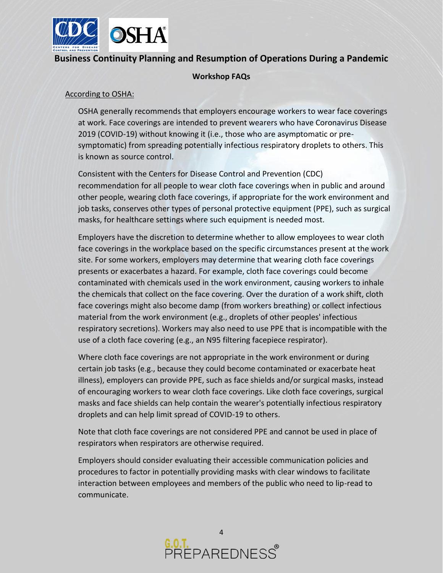

### **Workshop FAQs**

#### According to OSHA:

OSHA generally recommends that employers encourage workers to wear face coverings at work. Face coverings are intended to prevent wearers who have Coronavirus Disease 2019 (COVID-19) without knowing it (i.e., those who are asymptomatic or presymptomatic) from spreading potentially infectious respiratory droplets to others. This is known as source control.

Consistent with the [Centers for Disease Control and Prevention \(CDC\)](https://www.cdc.gov/coronavirus/2019-ncov/prevent-getting-sick/cloth-face-cover.html)  [recommendation](https://www.cdc.gov/coronavirus/2019-ncov/prevent-getting-sick/cloth-face-cover.html) for all people to wear cloth face coverings when in public and around other people, wearing cloth face coverings, if appropriate for the work environment and job tasks, conserves other types of personal protective equipment (PPE), such as surgical masks, for healthcare settings where such equipment is needed most.

Employers have the discretion to determine whether to allow employees to wear cloth face coverings in the workplace based on the specific circumstances present at the work site. For some workers, employers may determine that wearing cloth face coverings presents or exacerbates a hazard. For example, cloth face coverings could become contaminated with chemicals used in the work environment, causing workers to inhale the chemicals that collect on the face covering. Over the duration of a work shift, cloth face coverings might also become damp (from workers breathing) or collect infectious material from the work environment (e.g., droplets of other peoples' infectious respiratory secretions). Workers may also need to use PPE that is incompatible with the use of a cloth face covering (e.g., an N95 filtering facepiece respirator).

Where cloth face coverings are not appropriate in the work environment or during certain job tasks (e.g., because they could become contaminated or exacerbate heat illness), employers can provide PPE, such as face shields and/or surgical masks, instead of encouraging workers to wear cloth face coverings. Like cloth face coverings, surgical masks and face shields can help contain the wearer's potentially infectious respiratory droplets and can help limit spread of COVID-19 to others.

Note that cloth face coverings are not considered PPE and cannot be used in place of respirators when respirators are otherwise required.

Employers should consider evaluating their accessible communication policies and procedures to factor in potentially providing masks with clear windows to facilitate interaction between employees and members of the public who need to lip-read to communicate.

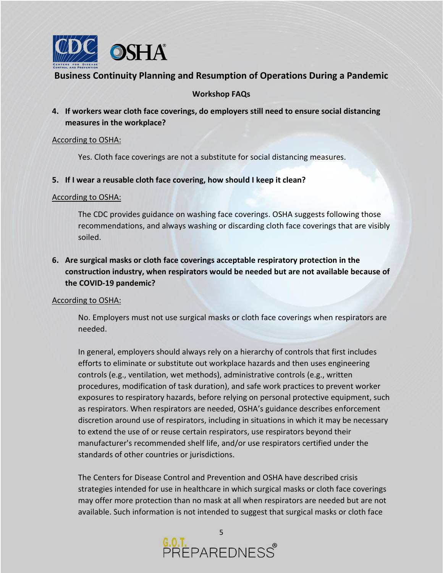

## **Workshop FAQs**

**4. If workers wear cloth face coverings, do employers still need to ensure social distancing measures in the workplace?** 

### According to OSHA:

Yes. Cloth face coverings are not a substitute for social distancing measures.

### **5. If I wear a reusable cloth face covering, how should I keep it clean?**

#### According to OSHA:

The CDC [provides guidance on washing face coverings.](https://www.cdc.gov/coronavirus/2019-ncov/prevent-getting-sick/diy-cloth-face-coverings.html) OSHA suggests following those recommendations, and always washing or discarding cloth face coverings that are visibly soiled.

# **6. Are surgical masks or cloth face coverings acceptable respiratory protection in the construction industry, when respirators would be needed but are not available because of the COVID-19 pandemic?**

### According to OSHA:

No. Employers must not use surgical masks or cloth face coverings when respirators are needed.

In general, employers should always rely on a hierarchy of controls that first includes efforts to eliminate or substitute out workplace hazards and then uses engineering controls (e.g., ventilation, wet methods), administrative controls (e.g., written procedures, modification of task duration), and safe work practices to prevent worker exposures to respiratory hazards, before relying on personal protective equipment, such as respirators. When respirators are needed, OSHA's guidance describes enforcement discretion around use of respirators, including in situations in which it may be necessary to extend the use of or reuse certain respirators, use respirators beyond their manufacturer's recommended shelf life, and/or use respirators certified under the standards of other countries or jurisdictions.

The Centers for Disease Control and Prevention and OSHA have described crisis strategies intended for use in healthcare in which surgical masks or cloth face coverings may offer more protection than no mask at all when respirators are needed but are not available. Such information is not intended to suggest that surgical masks or cloth face

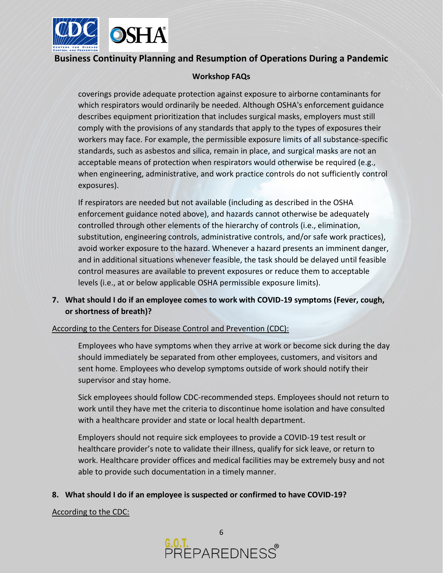

## **Workshop FAQs**

coverings provide adequate protection against exposure to airborne contaminants for which respirators would ordinarily be needed. Although OSHA's enforcement guidance describes equipment prioritization that includes surgical masks, employers must still comply with the provisions of any standards that apply to the types of exposures their workers may face. For example, the permissible exposure limits of all substance-specific standards, such as asbestos and silica, remain in place, and surgical masks are not an acceptable means of protection when respirators would otherwise be required (e.g., when engineering, administrative, and work practice controls do not sufficiently control exposures).

If respirators are needed but not available (including as described in the OSHA enforcement guidance noted above), and hazards cannot otherwise be adequately controlled through other elements of the hierarchy of controls (i.e., elimination, substitution, engineering controls, administrative controls, and/or safe work practices), avoid worker exposure to the hazard. Whenever a hazard presents an imminent danger, and in additional situations whenever feasible, the task should be delayed until feasible control measures are available to prevent exposures or reduce them to acceptable levels (i.e., at or below applicable OSHA permissible exposure limits).

## **7. What should I do if an employee comes to work with COVID-19 symptoms (Fever, cough, or shortness of breath)?**

### According to the Centers for Disease Control and Prevention (CDC):

Employees who have symptoms when they arrive at work or become sick during the day should immediately be separated from other employees, customers, and visitors and sent home. Employees who develop symptoms outside of work should notify their supervisor and stay home.

Sick employees should follow CDC-recommended steps. Employees should not return to work until they have met the criteria to discontinue home isolation and have consulted with a healthcare provider and state or local health department.

Employers should not require sick employees to provide a COVID-19 test result or healthcare provider's note to validate their illness, qualify for sick leave, or return to work. Healthcare provider offices and medical facilities may be extremely busy and not able to provide such documentation in a timely manner.

### **8. What should I do if an employee is suspected or confirmed to have COVID-19?**

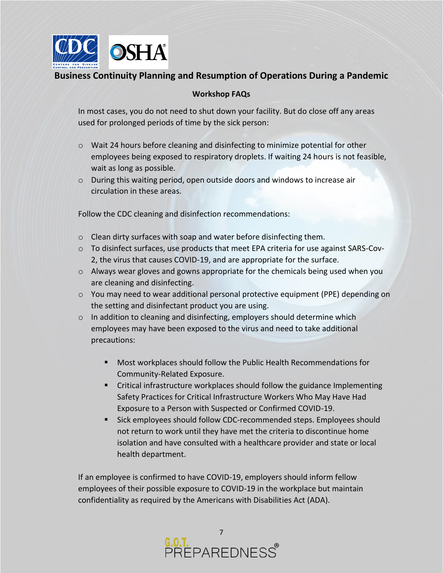

## **Workshop FAQs**

In most cases, you do not need to shut down your facility. But do close off any areas used for prolonged periods of time by the sick person:

- $\circ$  Wait 24 hours before cleaning and disinfecting to minimize potential for other employees being exposed to respiratory droplets. If waiting 24 hours is not feasible, wait as long as possible.
- $\circ$  During this waiting period, open outside doors and windows to increase air circulation in these areas.

Follow the CDC cleaning and disinfection recommendations:

- o Clean dirty surfaces with soap and water before disinfecting them.
- $\circ$  To disinfect surfaces, use products that meet EPA criteria for use against SARS-Cov-2, the virus that causes COVID-19, and are appropriate for the surface.
- $\circ$  Always wear gloves and gowns appropriate for the chemicals being used when you are cleaning and disinfecting.
- o You may need to wear additional personal protective equipment (PPE) depending on the setting and disinfectant product you are using.
- $\circ$  In addition to cleaning and disinfecting, employers should determine which employees may have been exposed to the virus and need to take additional precautions:
	- Most workplaces should follow the Public Health Recommendations for Community-Related Exposure.
	- Critical infrastructure workplaces should follow the guidance Implementing Safety Practices for Critical Infrastructure Workers Who May Have Had Exposure to a Person with Suspected or Confirmed COVID-19.
	- Sick employees should follow CDC-recommended steps. Employees should not return to work until they have met the criteria to discontinue home isolation and have consulted with a healthcare provider and state or local health department.

If an employee is confirmed to have COVID-19, employers should inform fellow employees of their possible exposure to COVID-19 in the workplace but maintain confidentiality as required by the Americans with Disabilities Act (ADA).

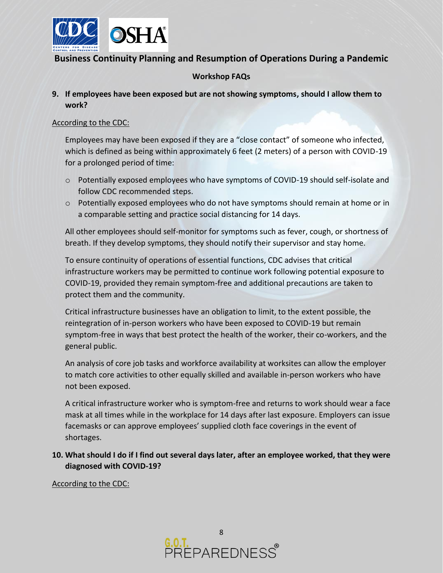

## **Workshop FAQs**

## **9. If employees have been exposed but are not showing symptoms, should I allow them to work?**

### According to the CDC:

Employees may have been exposed if they are a "close contact" of someone who infected, which is defined as being within approximately 6 feet (2 meters) of a person with COVID-19 for a prolonged period of time:

- o Potentially exposed employees who have symptoms of COVID-19 should self-isolate and follow CDC recommended steps.
- o Potentially exposed employees who do not have symptoms should remain at home or in a comparable setting and practice social distancing for 14 days.

All other employees should self-monitor for symptoms such as fever, cough, or shortness of breath. If they develop symptoms, they should notify their supervisor and stay home.

To ensure continuity of operations of essential functions, CDC advises that critical infrastructure workers may be permitted to continue work following potential exposure to COVID-19, provided they remain symptom-free and additional precautions are taken to protect them and the community.

Critical infrastructure businesses have an obligation to limit, to the extent possible, the reintegration of in-person workers who have been exposed to COVID-19 but remain symptom-free in ways that best protect the health of the worker, their co-workers, and the general public.

An analysis of core job tasks and workforce availability at worksites can allow the employer to match core activities to other equally skilled and available in-person workers who have not been exposed.

A critical infrastructure worker who is symptom-free and returns to work should wear a face mask at all times while in the workplace for 14 days after last exposure. Employers can issue facemasks or can approve employees' supplied cloth face coverings in the event of shortages.

**10. What should I do if I find out several days later, after an employee worked, that they were diagnosed with COVID-19?** 

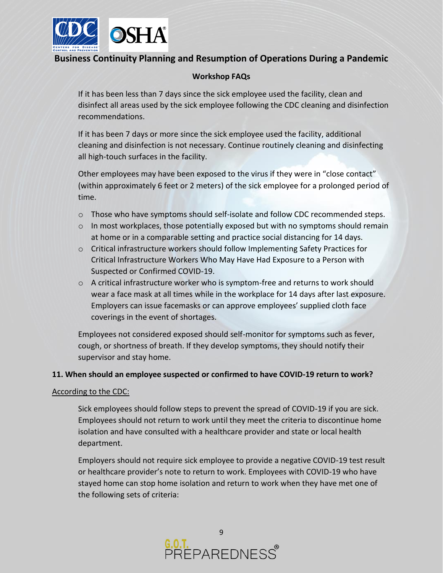

### **Workshop FAQs**

If it has been less than 7 days since the sick employee used the facility, clean and disinfect all areas used by the sick employee following the CDC cleaning and disinfection recommendations.

If it has been 7 days or more since the sick employee used the facility, additional cleaning and disinfection is not necessary. Continue routinely cleaning and disinfecting all high-touch surfaces in the facility.

Other employees may have been exposed to the virus if they were in "close contact" (within approximately 6 feet or 2 meters) of the sick employee for a prolonged period of time.

- o Those who have symptoms should self-isolate and follow CDC recommended steps.
- $\circ$  In most workplaces, those potentially exposed but with no symptoms should remain at home or in a comparable setting and practice social distancing for 14 days.
- o Critical infrastructure workers should follow Implementing Safety Practices for Critical Infrastructure Workers Who May Have Had Exposure to a Person with Suspected or Confirmed COVID-19.
- o A critical infrastructure worker who is symptom-free and returns to work should wear a face mask at all times while in the workplace for 14 days after last exposure. Employers can issue facemasks or can approve employees' supplied cloth face coverings in the event of shortages.

Employees not considered exposed should self-monitor for symptoms such as fever, cough, or shortness of breath. If they develop symptoms, they should notify their supervisor and stay home.

### **11. When should an employee suspected or confirmed to have COVID-19 return to work?**

### According to the CDC:

Sick employees should follow steps to prevent the spread of COVID-19 if you are sick. Employees should not return to work until they meet the criteria to discontinue home isolation and have consulted with a healthcare provider and state or local health department.

Employers should not require sick employee to provide a negative COVID-19 test result or healthcare provider's note to return to work. Employees with COVID-19 who have stayed home can stop home isolation and return to work when they have met one of the following sets of criteria:

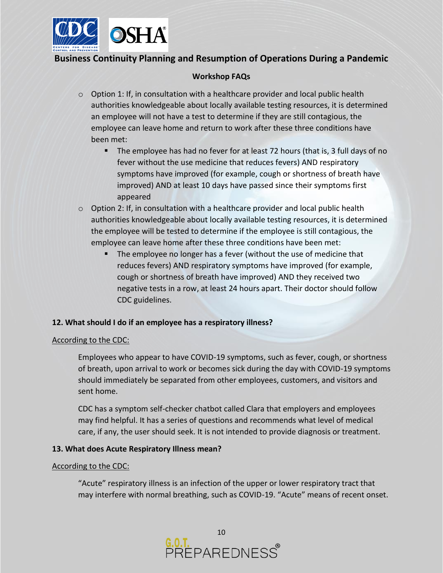

## **Workshop FAQs**

- $\circ$  Option 1: If, in consultation with a healthcare provider and local public health authorities knowledgeable about locally available testing resources, it is determined an employee will not have a test to determine if they are still contagious, the employee can leave home and return to work after these three conditions have been met:
	- The employee has had no fever for at least 72 hours (that is, 3 full days of no fever without the use medicine that reduces fevers) AND respiratory symptoms have improved (for example, cough or shortness of breath have improved) AND at least 10 days have passed since their symptoms first appeared
- $\circ$  Option 2: If, in consultation with a healthcare provider and local public health authorities knowledgeable about locally available testing resources, it is determined the employee will be tested to determine if the employee is still contagious, the employee can leave home after these three conditions have been met:
	- The employee no longer has a fever (without the use of medicine that reduces fevers) AND respiratory symptoms have improved (for example, cough or shortness of breath have improved) AND they received two negative tests in a row, at least 24 hours apart. Their doctor should follow CDC guidelines.

### **12. What should I do if an employee has a respiratory illness?**

### According to the CDC:

Employees who appear to have COVID-19 symptoms, such as fever, cough, or shortness of breath, upon arrival to work or becomes sick during the day with COVID-19 symptoms should immediately be separated from other employees, customers, and visitors and sent home.

CDC has a symptom self-checker chatbot called Clara that employers and employees may find helpful. It has a series of questions and recommends what level of medical care, if any, the user should seek. It is not intended to provide diagnosis or treatment.

### **13. What does Acute Respiratory Illness mean?**

#### According to the CDC:

"Acute" respiratory illness is an infection of the upper or lower respiratory tract that may interfere with normal breathing, such as COVID-19. "Acute" means of recent onset.

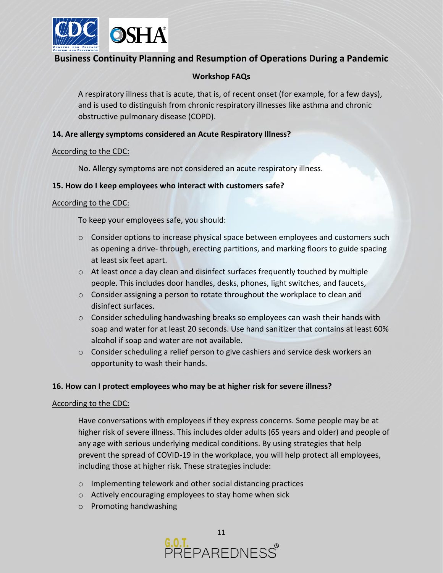

## **Workshop FAQs**

A respiratory illness that is acute, that is, of recent onset (for example, for a few days), and is used to distinguish from chronic respiratory illnesses like asthma and chronic obstructive pulmonary disease (COPD).

### **14. Are allergy symptoms considered an Acute Respiratory Illness?**

#### According to the CDC:

No. Allergy symptoms are not considered an acute respiratory illness.

### **15. How do I keep employees who interact with customers safe?**

### According to the CDC:

To keep your employees safe, you should:

- $\circ$  Consider options to increase physical space between employees and customers such as opening a drive- through, erecting partitions, and marking floors to guide spacing at least six feet apart.
- o At least once a day clean and disinfect surfaces frequently touched by multiple people. This includes door handles, desks, phones, light switches, and faucets,
- $\circ$  Consider assigning a person to rotate throughout the workplace to clean and disinfect surfaces.
- $\circ$  Consider scheduling handwashing breaks so employees can wash their hands with soap and water for at least 20 seconds. Use hand sanitizer that contains at least 60% alcohol if soap and water are not available.
- $\circ$  Consider scheduling a relief person to give cashiers and service desk workers an opportunity to wash their hands.

## **16. How can I protect employees who may be at higher risk for severe illness?**

### According to the CDC:

Have conversations with employees if they express concerns. Some people may be at higher risk of severe illness. This includes older adults (65 years and older) and people of any age with serious underlying medical conditions. By using strategies that help prevent the spread of COVID-19 in the workplace, you will help protect all employees, including those at higher risk. These strategies include:

- o Implementing telework and other social distancing practices
- o Actively encouraging employees to stay home when sick
- o Promoting handwashing

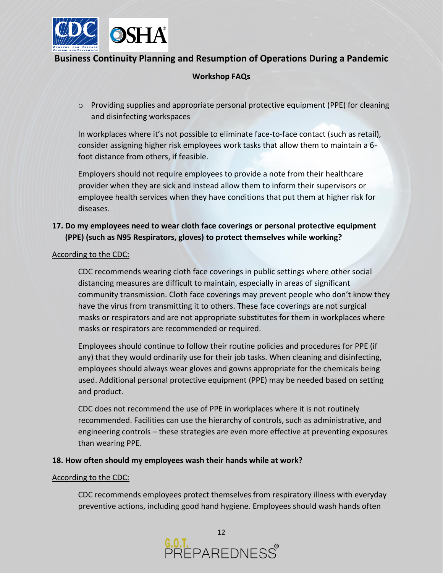

## **Workshop FAQs**

 $\circ$  Providing supplies and appropriate personal protective equipment (PPE) for cleaning and disinfecting workspaces

In workplaces where it's not possible to eliminate face-to-face contact (such as retail), consider assigning higher risk employees work tasks that allow them to maintain a 6 foot distance from others, if feasible.

Employers should not require employees to provide a note from their healthcare provider when they are sick and instead allow them to inform their supervisors or employee health services when they have conditions that put them at higher risk for diseases.

## **17. Do my employees need to wear cloth face coverings or personal protective equipment (PPE) (such as N95 Respirators, gloves) to protect themselves while working?**

### According to the CDC:

CDC recommends wearing cloth face coverings in public settings where other social distancing measures are difficult to maintain, especially in areas of significant community transmission. Cloth face coverings may prevent people who don't know they have the virus from transmitting it to others. These face coverings are not surgical masks or respirators and are not appropriate substitutes for them in workplaces where masks or respirators are recommended or required.

Employees should continue to follow their routine policies and procedures for PPE (if any) that they would ordinarily use for their job tasks. When cleaning and disinfecting, employees should always wear gloves and gowns appropriate for the chemicals being used. Additional personal protective equipment (PPE) may be needed based on setting and product.

CDC does not recommend the use of PPE in workplaces where it is not routinely recommended. Facilities can use the hierarchy of controls, such as administrative, and engineering controls – these strategies are even more effective at preventing exposures than wearing PPE.

### **18. How often should my employees wash their hands while at work?**

#### According to the CDC:

CDC recommends employees protect themselves from respiratory illness with everyday preventive actions, including good hand hygiene. Employees should wash hands often

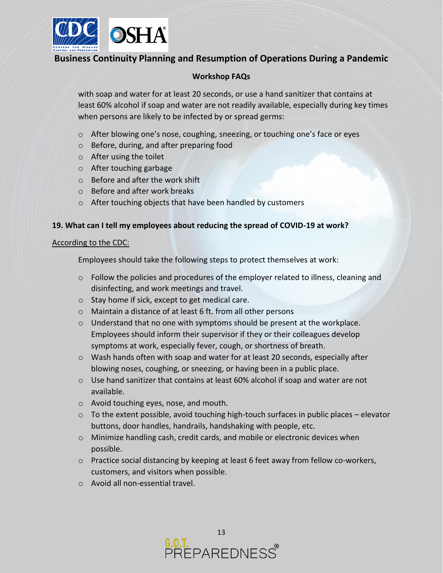

### **Workshop FAQs**

with soap and water for at least 20 seconds, or use a hand sanitizer that contains at least 60% alcohol if soap and water are not readily available, especially during key times when persons are likely to be infected by or spread germs:

- o After blowing one's nose, coughing, sneezing, or touching one's face or eyes
- o Before, during, and after preparing food
- o After using the toilet
- o After touching garbage
- o Before and after the work shift
- o Before and after work breaks
- o After touching objects that have been handled by customers

### **19. What can I tell my employees about reducing the spread of COVID-19 at work?**

#### According to the CDC:

Employees should take the following steps to protect themselves at work:

- $\circ$  Follow the policies and procedures of the employer related to illness, cleaning and disinfecting, and work meetings and travel.
- o Stay home if sick, except to get medical care.
- o Maintain a distance of at least 6 ft. from all other persons
- $\circ$  Understand that no one with symptoms should be present at the workplace. Employees should inform their supervisor if they or their colleagues develop symptoms at work, especially fever, cough, or shortness of breath.
- o Wash hands often with soap and water for at least 20 seconds, especially after blowing noses, coughing, or sneezing, or having been in a public place.
- $\circ$  Use hand sanitizer that contains at least 60% alcohol if soap and water are not available.
- o Avoid touching eyes, nose, and mouth.
- $\circ$  To the extent possible, avoid touching high-touch surfaces in public places elevator buttons, door handles, handrails, handshaking with people, etc.
- o Minimize handling cash, credit cards, and mobile or electronic devices when possible.
- $\circ$  Practice social distancing by keeping at least 6 feet away from fellow co-workers, customers, and visitors when possible.
- o Avoid all non-essential travel.

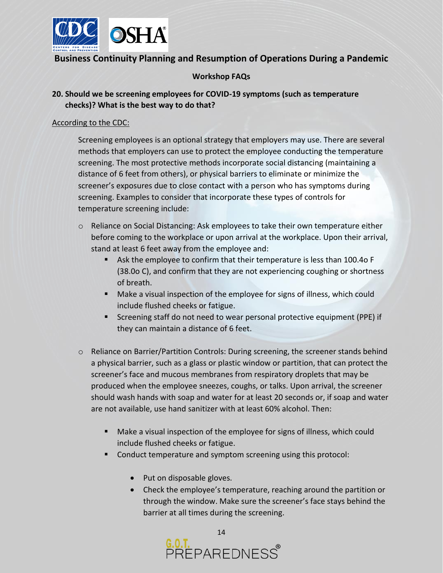

## **Workshop FAQs**

## **20. Should we be screening employees for COVID-19 symptoms (such as temperature checks)? What is the best way to do that?**

#### According to the CDC:

Screening employees is an optional strategy that employers may use. There are several methods that employers can use to protect the employee conducting the temperature screening. The most protective methods incorporate social distancing (maintaining a distance of 6 feet from others), or physical barriers to eliminate or minimize the screener's exposures due to close contact with a person who has symptoms during screening. Examples to consider that incorporate these types of controls for temperature screening include:

- $\circ$  Reliance on Social Distancing: Ask employees to take their own temperature either before coming to the workplace or upon arrival at the workplace. Upon their arrival, stand at least 6 feet away from the employee and:
	- Ask the employee to confirm that their temperature is less than 100.4o F (38.0o C), and confirm that they are not experiencing coughing or shortness of breath.
	- Make a visual inspection of the employee for signs of illness, which could include flushed cheeks or fatigue.
	- Screening staff do not need to wear personal protective equipment (PPE) if they can maintain a distance of 6 feet.
- o Reliance on Barrier/Partition Controls: During screening, the screener stands behind a physical barrier, such as a glass or plastic window or partition, that can protect the screener's face and mucous membranes from respiratory droplets that may be produced when the employee sneezes, coughs, or talks. Upon arrival, the screener should wash hands with soap and water for at least 20 seconds or, if soap and water are not available, use hand sanitizer with at least 60% alcohol. Then:
	- Make a visual inspection of the employee for signs of illness, which could include flushed cheeks or fatigue.
	- Conduct temperature and symptom screening using this protocol:
		- Put on disposable gloves.
		- Check the employee's temperature, reaching around the partition or through the window. Make sure the screener's face stays behind the barrier at all times during the screening.

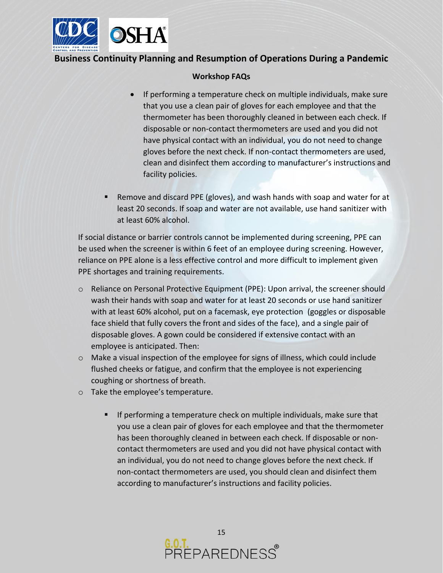

### **Workshop FAQs**

- If performing a temperature check on multiple individuals, make sure that you use a clean pair of gloves for each employee and that the thermometer has been thoroughly cleaned in between each check. If disposable or non-contact thermometers are used and you did not have physical contact with an individual, you do not need to change gloves before the next check. If non-contact thermometers are used, clean and disinfect them according to manufacturer's instructions and facility policies.
- Remove and discard PPE (gloves), and wash hands with soap and water for at least 20 seconds. If soap and water are not available, use hand sanitizer with at least 60% alcohol.

If social distance or barrier controls cannot be implemented during screening, PPE can be used when the screener is within 6 feet of an employee during screening. However, reliance on PPE alone is a less effective control and more difficult to implement given PPE shortages and training requirements.

- o Reliance on Personal Protective Equipment (PPE): Upon arrival, the screener should wash their hands with soap and water for at least 20 seconds or use hand sanitizer with at least 60% alcohol, put on a facemask, eye protection (goggles or disposable face shield that fully covers the front and sides of the face), and a single pair of disposable gloves. A gown could be considered if extensive contact with an employee is anticipated. Then:
- o Make a visual inspection of the employee for signs of illness, which could include flushed cheeks or fatigue, and confirm that the employee is not experiencing coughing or shortness of breath.
- o Take the employee's temperature.
	- If performing a temperature check on multiple individuals, make sure that you use a clean pair of gloves for each employee and that the thermometer has been thoroughly cleaned in between each check. If disposable or noncontact thermometers are used and you did not have physical contact with an individual, you do not need to change gloves before the next check. If non-contact thermometers are used, you should clean and disinfect them according to manufacturer's instructions and facility policies.

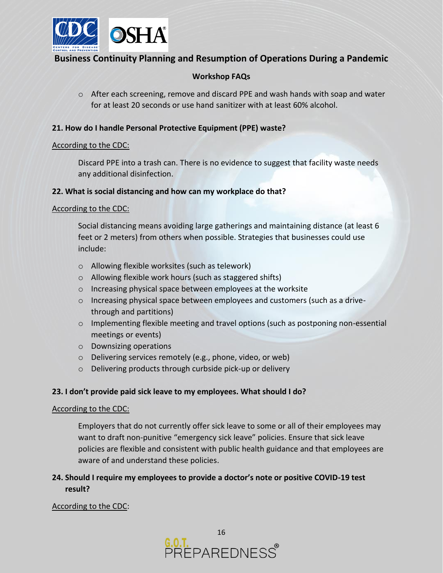

## **Workshop FAQs**

 $\circ$  After each screening, remove and discard PPE and wash hands with soap and water for at least 20 seconds or use hand sanitizer with at least 60% alcohol.

### **21. How do I handle Personal Protective Equipment (PPE) waste?**

#### According to the CDC:

Discard PPE into a trash can. There is no evidence to suggest that facility waste needs any additional disinfection.

#### **22. What is social distancing and how can my workplace do that?**

#### According to the CDC:

Social distancing means avoiding large gatherings and maintaining distance (at least 6 feet or 2 meters) from others when possible. Strategies that businesses could use include:

- o Allowing flexible worksites (such as telework)
- o Allowing flexible work hours (such as staggered shifts)
- o Increasing physical space between employees at the worksite
- o Increasing physical space between employees and customers (such as a drivethrough and partitions)
- o Implementing flexible meeting and travel options (such as postponing non-essential meetings or events)
- o Downsizing operations
- o Delivering services remotely (e.g., phone, video, or web)
- o Delivering products through curbside pick-up or delivery

### **23. I don't provide paid sick leave to my employees. What should I do?**

### According to the CDC:

Employers that do not currently offer sick leave to some or all of their employees may want to draft non-punitive "emergency sick leave" policies. Ensure that sick leave policies are flexible and consistent with public health guidance and that employees are aware of and understand these policies.

## **24. Should I require my employees to provide a doctor's note or positive COVID-19 test result?**

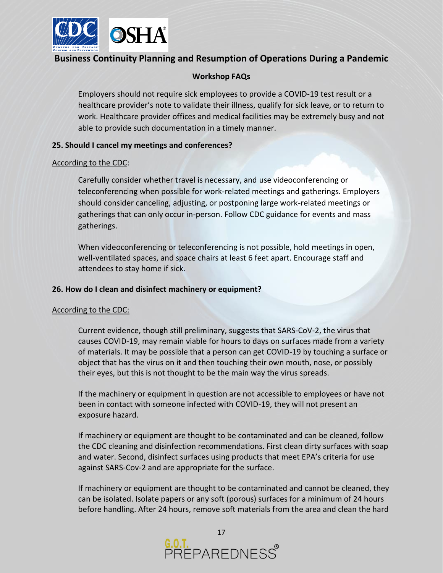

### **Workshop FAQs**

Employers should not require sick employees to provide a COVID-19 test result or a healthcare provider's note to validate their illness, qualify for sick leave, or to return to work. Healthcare provider offices and medical facilities may be extremely busy and not able to provide such documentation in a timely manner.

### **25. Should I cancel my meetings and conferences?**

#### According to the CDC:

Carefully consider whether travel is necessary, and use videoconferencing or teleconferencing when possible for work-related meetings and gatherings. Employers should consider canceling, adjusting, or postponing large work-related meetings or gatherings that can only occur in-person. Follow CDC guidance for events and mass gatherings.

When videoconferencing or teleconferencing is not possible, hold meetings in open, well-ventilated spaces, and space chairs at least 6 feet apart. Encourage staff and attendees to stay home if sick.

#### **26. How do I clean and disinfect machinery or equipment?**

### According to the CDC:

Current evidence, though still preliminary, suggests that SARS-CoV-2, the virus that causes COVID-19, may remain viable for hours to days on surfaces made from a variety of materials. It may be possible that a person can get COVID-19 by touching a surface or object that has the virus on it and then touching their own mouth, nose, or possibly their eyes, but this is not thought to be the main way the virus spreads.

If the machinery or equipment in question are not accessible to employees or have not been in contact with someone infected with COVID-19, they will not present an exposure hazard.

If machinery or equipment are thought to be contaminated and can be cleaned, follow the CDC cleaning and disinfection recommendations. First clean dirty surfaces with soap and water. Second, disinfect surfaces using products that meet EPA's criteria for use against SARS-Cov-2 and are appropriate for the surface.

If machinery or equipment are thought to be contaminated and cannot be cleaned, they can be isolated. Isolate papers or any soft (porous) surfaces for a minimum of 24 hours before handling. After 24 hours, remove soft materials from the area and clean the hard

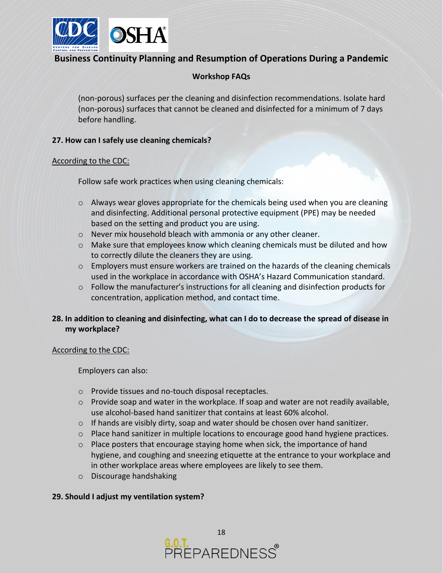

## **Workshop FAQs**

(non-porous) surfaces per the cleaning and disinfection recommendations. Isolate hard (non-porous) surfaces that cannot be cleaned and disinfected for a minimum of 7 days before handling.

#### **27. How can I safely use cleaning chemicals?**

#### According to the CDC:

Follow safe work practices when using cleaning chemicals:

- $\circ$  Always wear gloves appropriate for the chemicals being used when you are cleaning and disinfecting. Additional personal protective equipment (PPE) may be needed based on the setting and product you are using.
- o Never mix household bleach with ammonia or any other cleaner.
- o Make sure that employees know which cleaning chemicals must be diluted and how to correctly dilute the cleaners they are using.
- $\circ$  Employers must ensure workers are trained on the hazards of the cleaning chemicals used in the workplace in accordance with OSHA's Hazard Communication standard.
- $\circ$  Follow the manufacturer's instructions for all cleaning and disinfection products for concentration, application method, and contact time.

## **28. In addition to cleaning and disinfecting, what can I do to decrease the spread of disease in my workplace?**

#### According to the CDC:

Employers can also:

- o Provide tissues and no-touch disposal receptacles.
- $\circ$  Provide soap and water in the workplace. If soap and water are not readily available, use alcohol-based hand sanitizer that contains at least 60% alcohol.
- $\circ$  If hands are visibly dirty, soap and water should be chosen over hand sanitizer.
- o Place hand sanitizer in multiple locations to encourage good hand hygiene practices.
- $\circ$  Place posters that encourage staying home when sick, the importance of hand hygiene, and coughing and sneezing etiquette at the entrance to your workplace and in other workplace areas where employees are likely to see them.
- o Discourage handshaking

### **29. Should I adjust my ventilation system?**

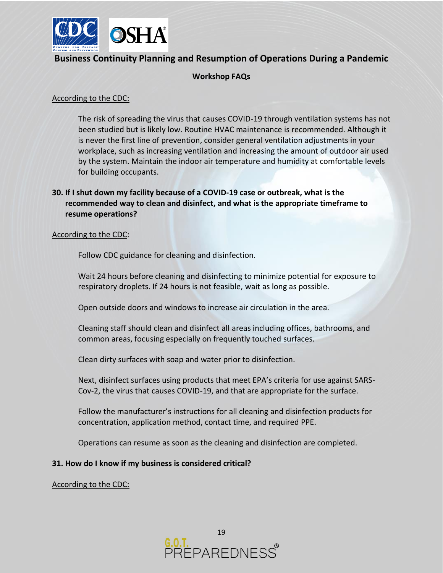

### **Workshop FAQs**

### According to the CDC:

The risk of spreading the virus that causes COVID-19 through ventilation systems has not been studied but is likely low. Routine HVAC maintenance is recommended. Although it is never the first line of prevention, consider general ventilation adjustments in your workplace, such as increasing ventilation and increasing the amount of outdoor air used by the system. Maintain the indoor air temperature and humidity at comfortable levels for building occupants.

## **30. If I shut down my facility because of a COVID-19 case or outbreak, what is the recommended way to clean and disinfect, and what is the appropriate timeframe to resume operations?**

#### According to the CDC:

Follow CDC guidance for cleaning and disinfection.

Wait 24 hours before cleaning and disinfecting to minimize potential for exposure to respiratory droplets. If 24 hours is not feasible, wait as long as possible.

Open outside doors and windows to increase air circulation in the area.

Cleaning staff should clean and disinfect all areas including offices, bathrooms, and common areas, focusing especially on frequently touched surfaces.

Clean dirty surfaces with soap and water prior to disinfection.

Next, disinfect surfaces using products that meet EPA's criteria for use against SARS-Cov-2, the virus that causes COVID-19, and that are appropriate for the surface.

Follow the manufacturer's instructions for all cleaning and disinfection products for concentration, application method, contact time, and required PPE.

Operations can resume as soon as the cleaning and disinfection are completed.

### **31. How do I know if my business is considered critical?**

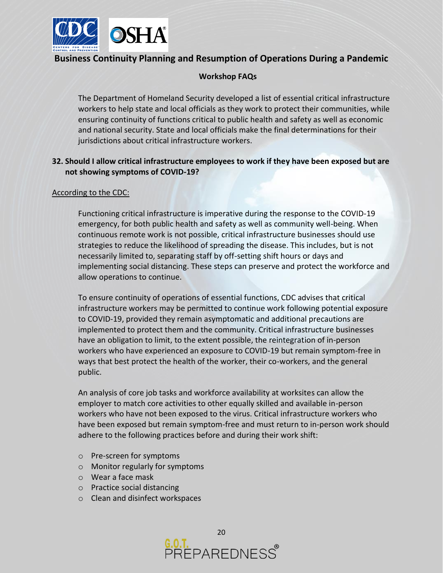

## **Workshop FAQs**

The Department of Homeland Security developed a list of essential critical infrastructure workers to help state and local officials as they work to protect their communities, while ensuring continuity of functions critical to public health and safety as well as economic and national security. State and local officials make the final determinations for their jurisdictions about critical infrastructure workers.

## **32. Should I allow critical infrastructure employees to work if they have been exposed but are not showing symptoms of COVID-19?**

### According to the CDC:

Functioning critical infrastructure is imperative during the response to the COVID-19 emergency, for both public health and safety as well as community well-being. When continuous remote work is not possible, critical infrastructure businesses should use strategies to reduce the likelihood of spreading the disease. This includes, but is not necessarily limited to, separating staff by off-setting shift hours or days and implementing social distancing. These steps can preserve and protect the workforce and allow operations to continue.

To ensure continuity of operations of essential functions, CDC advises that critical infrastructure workers may be permitted to continue work following potential exposure to COVID-19, provided they remain asymptomatic and additional precautions are implemented to protect them and the community. Critical infrastructure businesses have an obligation to limit, to the extent possible, the reintegration of in-person workers who have experienced an exposure to COVID-19 but remain symptom-free in ways that best protect the health of the worker, their co-workers, and the general public.

An analysis of core job tasks and workforce availability at worksites can allow the employer to match core activities to other equally skilled and available in-person workers who have not been exposed to the virus. Critical infrastructure workers who have been exposed but remain symptom-free and must return to in-person work should adhere to the following practices before and during their work shift:

- o Pre-screen for symptoms
- o Monitor regularly for symptoms
- o Wear a face mask
- o Practice social distancing
- o Clean and disinfect workspaces

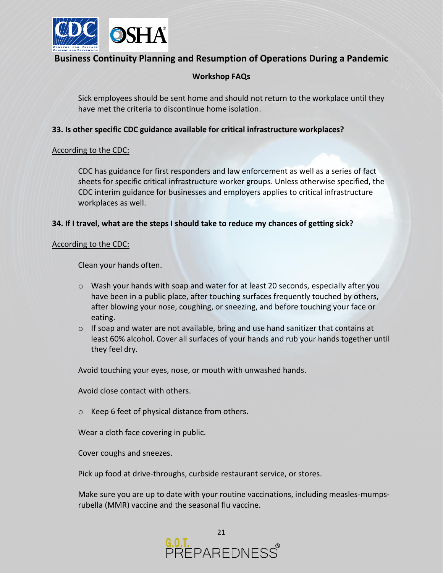

## **Workshop FAQs**

Sick employees should be sent home and should not return to the workplace until they have met the criteria to discontinue home isolation.

### **33. Is other specific CDC guidance available for critical infrastructure workplaces?**

#### According to the CDC:

CDC has guidance for first responders and law enforcement as well as a series of fact sheets for specific critical infrastructure worker groups. Unless otherwise specified, the CDC interim guidance for businesses and employers applies to critical infrastructure workplaces as well.

### **34. If I travel, what are the steps I should take to reduce my chances of getting sick?**

#### According to the CDC:

Clean your hands often.

- $\circ$  Wash your hands with soap and water for at least 20 seconds, especially after you have been in a public place, after touching surfaces frequently touched by others, after blowing your nose, coughing, or sneezing, and before touching your face or eating.
- $\circ$  If soap and water are not available, bring and use hand sanitizer that contains at least 60% alcohol. Cover all surfaces of your hands and rub your hands together until they feel dry.

Avoid touching your eyes, nose, or mouth with unwashed hands.

Avoid close contact with others.

o Keep 6 feet of physical distance from others.

Wear a cloth face covering in public.

Cover coughs and sneezes.

Pick up food at drive-throughs, curbside restaurant service, or stores.

Make sure you are up to date with your routine vaccinations, including measles-mumpsrubella (MMR) vaccine and the seasonal flu vaccine.

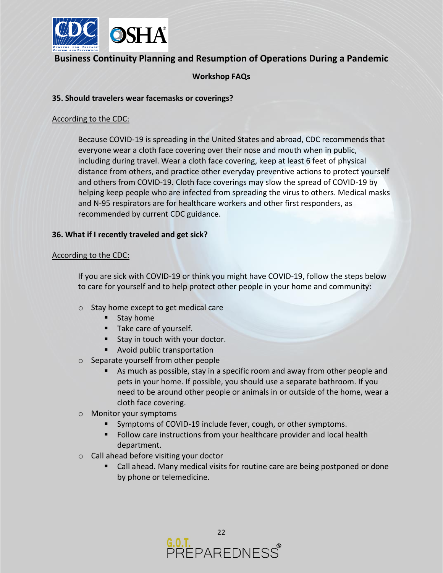

## **Workshop FAQs**

#### **35. Should travelers wear facemasks or coverings?**

#### According to the CDC:

Because COVID-19 is spreading in the United States and abroad, CDC recommends that everyone wear a cloth face covering over their nose and mouth when in public, including during travel. Wear a cloth face covering, keep at least 6 feet of physical distance from others, and practice other everyday preventive actions to protect yourself and others from COVID-19. Cloth face coverings may slow the spread of COVID-19 by helping keep people who are infected from spreading the virus to others. Medical masks and N-95 respirators are for healthcare workers and other first responders, as recommended by current CDC guidance.

### **36. What if I recently traveled and get sick?**

#### According to the CDC:

If you are sick with COVID-19 or think you might have COVID-19, follow the steps below to care for yourself and to help protect other people in your home and community:

- o Stay home except to get medical care
	- **■** Stay home
	- Take care of yourself.
	- Stay in touch with your doctor.
	- Avoid public transportation
- o Separate yourself from other people
	- As much as possible, stay in a specific room and away from other people and pets in your home. If possible, you should use a separate bathroom. If you need to be around other people or animals in or outside of the home, wear a cloth face covering.
- o Monitor your symptoms
	- Symptoms of COVID-19 include fever, cough, or other symptoms.
	- Follow care instructions from your healthcare provider and local health department.
- o Call ahead before visiting your doctor
	- Call ahead. Many medical visits for routine care are being postponed or done by phone or telemedicine.

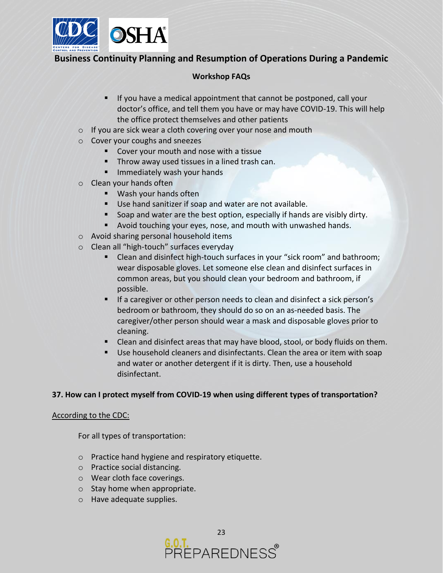

### **Workshop FAQs**

- If you have a medical appointment that cannot be postponed, call your doctor's office, and tell them you have or may have COVID-19. This will help the office protect themselves and other patients
- o If you are sick wear a cloth covering over your nose and mouth
- o Cover your coughs and sneezes
	- Cover your mouth and nose with a tissue
	- **Throw away used tissues in a lined trash can.**
	- **■** Immediately wash your hands
- o Clean your hands often
	- Wash your hands often
	- Use hand sanitizer if soap and water are not available.
	- Soap and water are the best option, especially if hands are visibly dirty.
	- Avoid touching your eyes, nose, and mouth with unwashed hands.
- o Avoid sharing personal household items
- o Clean all "high-touch" surfaces everyday
	- Clean and disinfect high-touch surfaces in your "sick room" and bathroom; wear disposable gloves. Let someone else clean and disinfect surfaces in common areas, but you should clean your bedroom and bathroom, if possible.
	- If a caregiver or other person needs to clean and disinfect a sick person's bedroom or bathroom, they should do so on an as-needed basis. The caregiver/other person should wear a mask and disposable gloves prior to cleaning.
	- Clean and disinfect areas that may have blood, stool, or body fluids on them.
	- Use household cleaners and disinfectants. Clean the area or item with soap and water or another detergent if it is dirty. Then, use a household disinfectant.

### **37. How can I protect myself from COVID-19 when using different types of transportation?**

#### According to the CDC:

For all types of transportation:

- o Practice hand hygiene and respiratory etiquette.
- o Practice social distancing.
- o Wear cloth face coverings.
- o Stay home when appropriate.
- o Have adequate supplies.

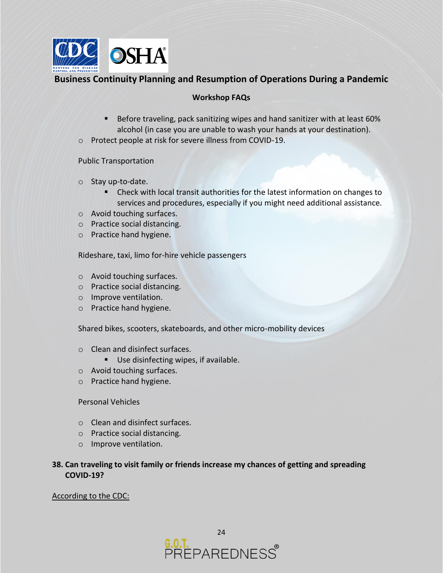

### **Workshop FAQs**

- Before traveling, pack sanitizing wipes and hand sanitizer with at least 60% alcohol (in case you are unable to wash your hands at your destination).
- o Protect people at risk for severe illness from COVID-19.

### Public Transportation

- o Stay up-to-date.
	- Check with local transit authorities for the latest information on changes to services and procedures, especially if you might need additional assistance.
- o Avoid touching surfaces.
- o Practice social distancing.
- o Practice hand hygiene.

Rideshare, taxi, limo for-hire vehicle passengers

- o Avoid touching surfaces.
- o Practice social distancing.
- o Improve ventilation.
- o Practice hand hygiene.

Shared bikes, scooters, skateboards, and other micro-mobility devices

- o Clean and disinfect surfaces.
	- Use disinfecting wipes, if available.
- o Avoid touching surfaces.
- o Practice hand hygiene.

### Personal Vehicles

- o Clean and disinfect surfaces.
- o Practice social distancing.
- o Improve ventilation.
- **38. Can traveling to visit family or friends increase my chances of getting and spreading COVID-19?**

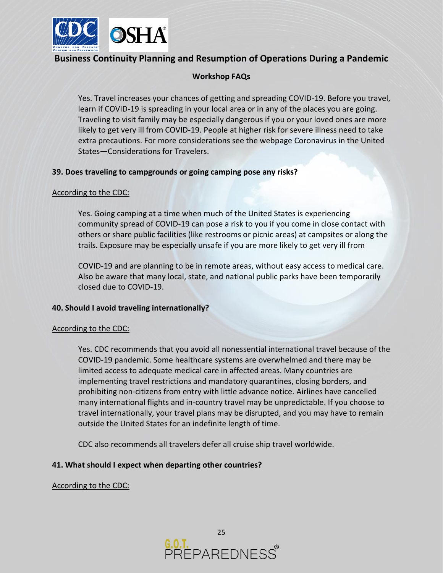

## **Workshop FAQs**

Yes. Travel increases your chances of getting and spreading COVID-19. Before you travel, learn if COVID-19 is spreading in your local area or in any of the places you are going. Traveling to visit family may be especially dangerous if you or your loved ones are more likely to get very ill from COVID-19. People at higher risk for severe illness need to take extra precautions. For more considerations see the webpage Coronavirus in the United States—Considerations for Travelers.

### **39. Does traveling to campgrounds or going camping pose any risks?**

#### According to the CDC:

Yes. Going camping at a time when much of the United States is experiencing community spread of COVID-19 can pose a risk to you if you come in close contact with others or share public facilities (like restrooms or picnic areas) at campsites or along the trails. Exposure may be especially unsafe if you are more likely to get very ill from

COVID-19 and are planning to be in remote areas, without easy access to medical care. Also be aware that many local, state, and national public parks have been temporarily closed due to COVID-19.

### **40. Should I avoid traveling internationally?**

#### According to the CDC:

Yes. CDC recommends that you avoid all nonessential international travel because of the COVID-19 pandemic. Some healthcare systems are overwhelmed and there may be limited access to adequate medical care in affected areas. Many countries are implementing travel restrictions and mandatory quarantines, closing borders, and prohibiting non-citizens from entry with little advance notice. Airlines have cancelled many international flights and in-country travel may be unpredictable. If you choose to travel internationally, your travel plans may be disrupted, and you may have to remain outside the United States for an indefinite length of time.

CDC also recommends all travelers defer all cruise ship travel worldwide.

### **41. What should I expect when departing other countries?**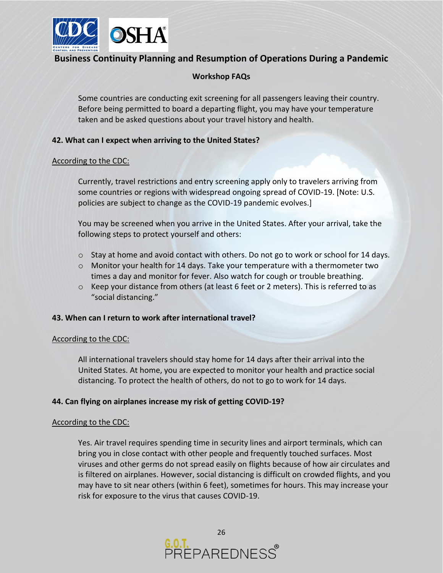

## **Workshop FAQs**

Some countries are conducting exit screening for all passengers leaving their country. Before being permitted to board a departing flight, you may have your temperature taken and be asked questions about your travel history and health.

### **42. What can I expect when arriving to the United States?**

#### According to the CDC:

Currently, travel restrictions and entry screening apply only to travelers arriving from some countries or regions with widespread ongoing spread of COVID-19. [Note: U.S. policies are subject to change as the COVID-19 pandemic evolves.]

You may be screened when you arrive in the United States. After your arrival, take the following steps to protect yourself and others:

- $\circ$  Stay at home and avoid contact with others. Do not go to work or school for 14 days.
- o Monitor your health for 14 days. Take your temperature with a thermometer two times a day and monitor for fever. Also watch for cough or trouble breathing.
- $\circ$  Keep your distance from others (at least 6 feet or 2 meters). This is referred to as "social distancing."

#### **43. When can I return to work after international travel?**

#### According to the CDC:

All international travelers should stay home for 14 days after their arrival into the United States. At home, you are expected to monitor your health and practice social distancing. To protect the health of others, do not to go to work for 14 days.

### **44. Can flying on airplanes increase my risk of getting COVID-19?**

#### According to the CDC:

Yes. Air travel requires spending time in security lines and airport terminals, which can bring you in close contact with other people and frequently touched surfaces. Most viruses and other germs do not spread easily on flights because of how air circulates and is filtered on airplanes. However, social distancing is difficult on crowded flights, and you may have to sit near others (within 6 feet), sometimes for hours. This may increase your risk for exposure to the virus that causes COVID-19.